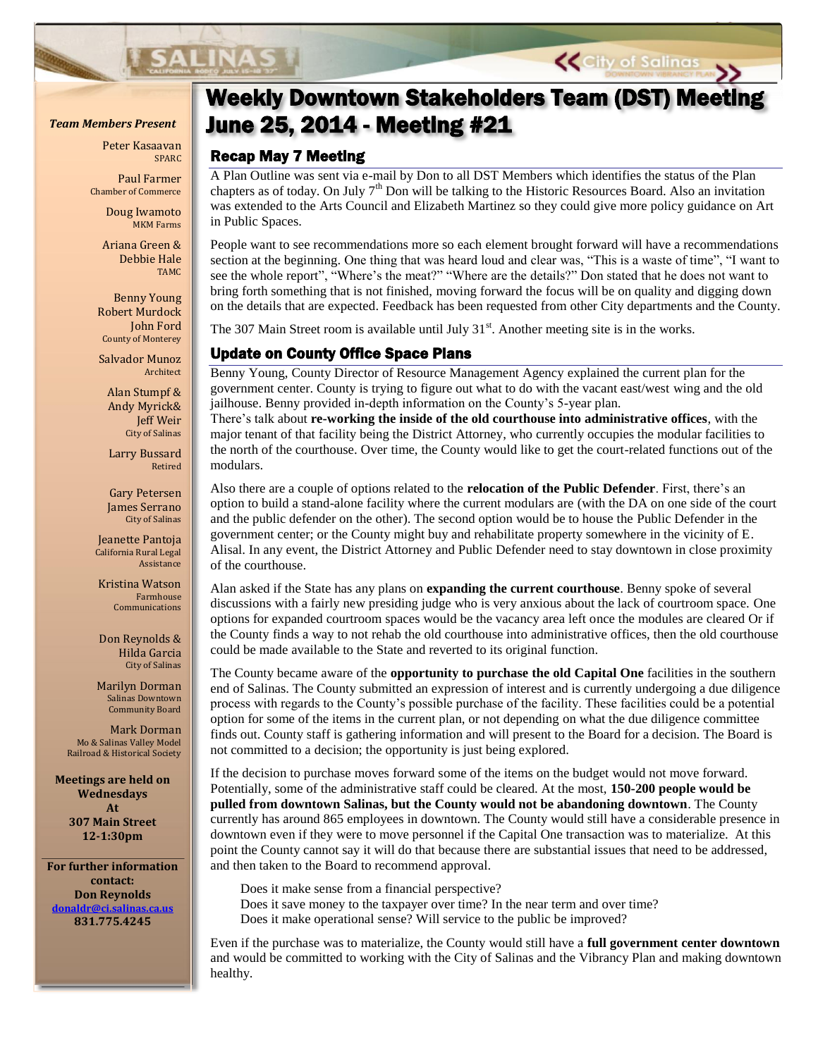Peter Kasaavan SPARC

Paul Farmer Chamber of Commerce

> Doug Iwamoto MKM Farms

Ariana Green & Debbie Hale TAMC

Benny Young Robert Murdock John Ford County of Monterey

Salvador Munoz Architect

Alan Stumpf & Andy Myrick& Jeff Weir City of Salinas

Larry Bussard Retired

Gary Petersen James Serrano City of Salinas

Jeanette Pantoja California Rural Legal Assistance

Kristina Watson Farmhouse Communications

Don Reynolds & Hilda Garcia City of Salinas

Marilyn Dorman Salinas Downtown Community Board

Mark Dorman Mo & Salinas Valley Model Railroad & Historical Society

**Meetings are held on Wednesdays At 307 Main Street 12-1:30pm**

**For further information contact: Don Reynolds [donaldr@ci.salinas.ca.us](mailto:donaldr@ci.salinas.ca.us) 831.775.4245**

# Weekly Downtown Stakeholders Team (DST) Meeting *Team Members Present* June 25, 2014 - Meeting #21

**Page 2 Salinas Vibrancy Planning – Weekly DST Meetings**

## Recap May 7 Meeting

A Plan Outline was sent via e-mail by Don to all DST Members which identifies the status of the Plan chapters as of today. On July  $7<sup>th</sup>$  Don will be talking to the Historic Resources Board. Also an invitation was extended to the Arts Council and Elizabeth Martinez so they could give more policy guidance on Art in Public Spaces.

People want to see recommendations more so each element brought forward will have a recommendations section at the beginning. One thing that was heard loud and clear was, "This is a waste of time", "I want to see the whole report", "Where's the meat?" "Where are the details?" Don stated that he does not want to bring forth something that is not finished, moving forward the focus will be on quality and digging down on the details that are expected. Feedback has been requested from other City departments and the County.

The 307 Main Street room is available until July  $31<sup>st</sup>$ . Another meeting site is in the works.

### Update on County Office Space Plans

Benny Young, County Director of Resource Management Agency explained the current plan for the government center. County is trying to figure out what to do with the vacant east/west wing and the old jailhouse. Benny provided in-depth information on the County's 5-year plan.

There's talk about **re-working the inside of the old courthouse into administrative offices**, with the major tenant of that facility being the District Attorney, who currently occupies the modular facilities to the north of the courthouse. Over time, the County would like to get the court-related functions out of the modulars.

Also there are a couple of options related to the **relocation of the Public Defender**. First, there's an option to build a stand-alone facility where the current modulars are (with the DA on one side of the court and the public defender on the other). The second option would be to house the Public Defender in the government center; or the County might buy and rehabilitate property somewhere in the vicinity of E. Alisal. In any event, the District Attorney and Public Defender need to stay downtown in close proximity of the courthouse.

Alan asked if the State has any plans on **expanding the current courthouse**. Benny spoke of several discussions with a fairly new presiding judge who is very anxious about the lack of courtroom space. One options for expanded courtroom spaces would be the vacancy area left once the modules are cleared Or if the County finds a way to not rehab the old courthouse into administrative offices, then the old courthouse could be made available to the State and reverted to its original function.

The County became aware of the **opportunity to purchase the old Capital One** facilities in the southern end of Salinas. The County submitted an expression of interest and is currently undergoing a due diligence process with regards to the County's possible purchase of the facility. These facilities could be a potential option for some of the items in the current plan, or not depending on what the due diligence committee finds out. County staff is gathering information and will present to the Board for a decision. The Board is not committed to a decision; the opportunity is just being explored.

If the decision to purchase moves forward some of the items on the budget would not move forward. Potentially, some of the administrative staff could be cleared. At the most, **150-200 people would be pulled from downtown Salinas, but the County would not be abandoning downtown**. The County currently has around 865 employees in downtown. The County would still have a considerable presence in downtown even if they were to move personnel if the Capital One transaction was to materialize. At this point the County cannot say it will do that because there are substantial issues that need to be addressed, and then taken to the Board to recommend approval.

Does it make sense from a financial perspective?

Does it save money to the taxpayer over time? In the near term and over time? Does it make operational sense? Will service to the public be improved?

Even if the purchase was to materialize, the County would still have a **full government center downtown** and would be committed to working with the City of Salinas and the Vibrancy Plan and making downtown healthy.